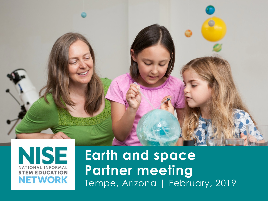



**Earth and space Partner meeting** Tempe, Arizona | February, 2019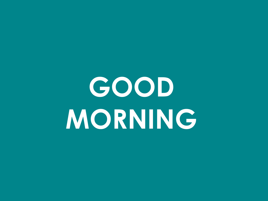# **GOOD MORNING**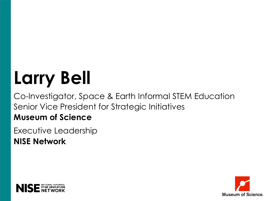### **Larry Bell**

Co-Investigator, Space & Earth Informal STEM Education Senior Vice President for Strategic Initiatives **Museum of Science**

Executive Leadership **NISE Network**



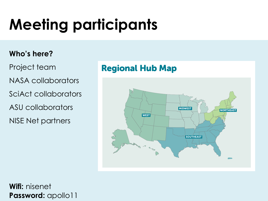### **Meeting participants**

#### **Who's here?**

- Project team
- NASA collaborators
- SciAct collaborators
- ASU collaborators
- NISE Net partners

#### Regional Hub Map



#### **Wifi:** nisenet **Password:** apollo11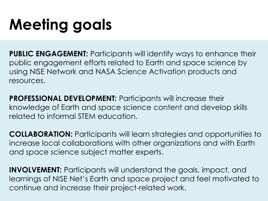### **Meeting goals**

**PUBLIC ENGAGEMENT:** Participants will identify ways to enhance their public engagement efforts related to Earth and space science by using NISE Network and NASA Science Activation products and resources.

**PROFESSIONAL DEVELOPMENT: Participants will increase their** knowledge of Earth and space science content and develop skills related to informal STEM education.

**COLLABORATION:** Participants will learn strategies and opportunities to increase local collaborations with other organizations and with Earth and space science subject matter experts.

**INVOLVEMENT:** Participants will understand the goals, impact, and learnings of NISE Net's Earth and space project and feel motivated to continue and increase their project-related work.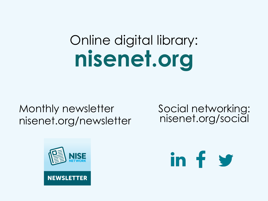### Online digital library: **nisenet.org**

#### Monthly newsletter nisenet.org/newsletter

Social networking: nisenet.org/social